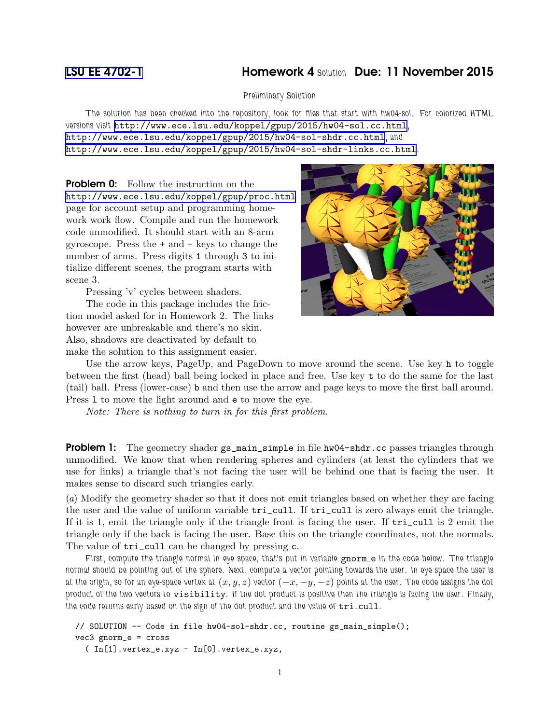## [LSU EE 4702-1](http://www.ece.lsu.edu/koppel/gpup/) Homework 4 Solution Due: 11 November 2015

Preliminary Solution

The solution has been checked into the repository, look for files that start with hw04-sol. For colorized HTML versions visit <http://www.ece.lsu.edu/koppel/gpup/2015/hw04-sol.cc.html>, <http://www.ece.lsu.edu/koppel/gpup/2015/hw04-sol-shdr.cc.html>, and <http://www.ece.lsu.edu/koppel/gpup/2015/hw04-sol-shdr-links.cc.html>.

**Problem 0:** Follow the instruction on the <http://www.ece.lsu.edu/koppel/gpup/proc.html> page for account setup and programming homework work flow. Compile and run the homework code unmodified. It should start with an 8-arm gyroscope. Press the + and - keys to change the number of arms. Press digits 1 through 3 to initialize different scenes, the program starts with scene 3.

Pressing 'v' cycles between shaders.

The code in this package includes the friction model asked for in Homework 2. The links however are unbreakable and there's no skin. Also, shadows are deactivated by default to make the solution to this assignment easier.



Use the arrow keys, PageUp, and PageDown to move around the scene. Use key h to toggle between the first (head) ball being locked in place and free. Use key t to do the same for the last (tail) ball. Press (lower-case) b and then use the arrow and page keys to move the first ball around. Press l to move the light around and e to move the eye.

Note: There is nothing to turn in for this first problem.

**Problem 1:** The geometry shader  $gs\_main\_simple$  in file hw04-shdr.cc passes triangles through unmodified. We know that when rendering spheres and cylinders (at least the cylinders that we use for links) a triangle that's not facing the user will be behind one that is facing the user. It makes sense to discard such triangles early.

(a) Modify the geometry shader so that it does not emit triangles based on whether they are facing the user and the value of uniform variable tri\_cull. If tri\_cull is zero always emit the triangle. If it is 1, emit the triangle only if the triangle front is facing the user. If tri\_cull is 2 emit the triangle only if the back is facing the user. Base this on the triangle coordinates, not the normals. The value of  $tri\_cull$  can be changed by pressing c.

First, compute the triangle normal in eye space, that's put in variable gnorm e in the code below. The triangle normal should be pointing out of the sphere. Next, compute a vector pointing towards the user. In eye space the user is at the origin, so for an eye-space vertex at  $(x, y, z)$  vector  $(-x, -y, -z)$  points at the user. The code assigns the dot product of the two vectors to visibility. If the dot product is positive then the triangle is facing the user. Finally, the code returns early based on the sign of the dot product and the value of  $tri\_cull$ .

```
// SOLUTION -- Code in file hw04-sol-shdr.cc, routine gs_main_simple();
vec3 gnorm_e = cross
  ( In[1].vertex_e.xyz - In[0].vertex_e.xyz,
```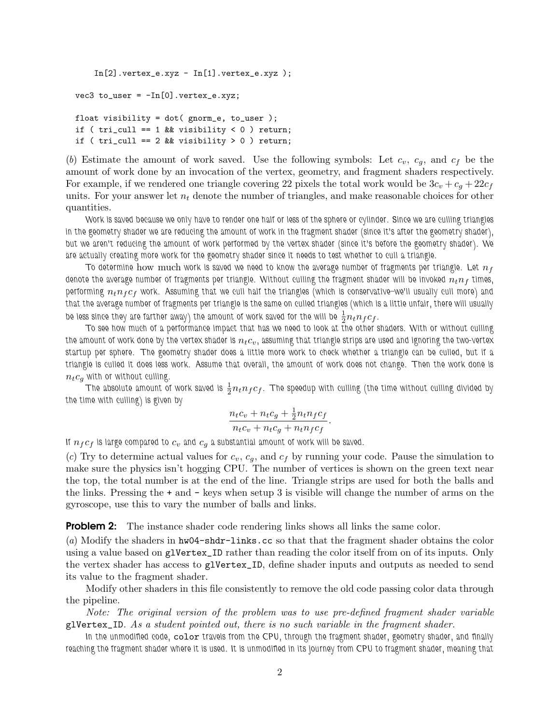```
In [2].vertex_e.xyz - In [1].vertex_e.xyz );
vec3 to_user = -In[0].vertex_e.xyz;
float visibility = dot( gnorm_e, to_user );
if ( tri\_call == 1 && visibility < 0 ) return;
if ( tri\_call == 2 && visibility > 0 ) return;
```
(b) Estimate the amount of work saved. Use the following symbols: Let  $c_v$ ,  $c_g$ , and  $c_f$  be the amount of work done by an invocation of the vertex, geometry, and fragment shaders respectively. For example, if we rendered one triangle covering 22 pixels the total work would be  $3c_v + c_q + 22c_f$ units. For your answer let  $n_t$  denote the number of triangles, and make reasonable choices for other quantities.

Work is saved because we only have to render one half or less of the sphere or cylinder. Since we are culling triangles in the geometry shader we are reducing the amount of work in the fragment shader (since it's after the geometry shader), but we aren't reducing the amount of work performed by the vertex shader (since it's before the geometry shader). We are actually creating more work for the geometry shader since it needs to test whether to cull a triangle.

To determine how much work is saved we need to know the average number of fragments per triangle. Let  $n_f$ denote the average number of fragments per triangle. Without culling the fragment shader will be invoked  $n_t n_f$  times, performing  $n_t n_f c_f$  work. Assuming that we cull half the triangles (which is conservative–we'll usually cull more) and that the average number of fragments per triangle is the same on culled triangles (which is a little unfair, there will usually be less since they are farther away) the amount of work saved for the will be  $\frac{1}{2}n_t n_f c_f.$ 

To see how much of a performance impact that has we need to look at the other shaders. With or without culling the amount of work done by the vertex shader is  $n_t c_v$ , assuming that triangle strips are used and ignoring the two-vertex startup per sphere. The geometry shader does a little more work to check whether a triangle can be culled, but if a triangle is culled it does less work. Assume that overall, the amount of work does not change. Then the work done is  $n_t c_g$  with or without culling.

The absolute amount of work saved is  $\frac{1}{2}n_t n_f c_f$ . The speedup with culling (the time without culling divided by the time with culling) is given by

$$
\frac{n_t c_v + n_t c_g + \frac{1}{2} n_t n_f c_f}{n_t c_v + n_t c_g + n_t n_f c_f}.
$$

If  $n_f c_f$  is large compared to  $c_v$  and  $c_g$  a substantial amount of work will be saved.

(c) Try to determine actual values for  $c_v$ ,  $c_g$ , and  $c_f$  by running your code. Pause the simulation to make sure the physics isn't hogging CPU. The number of vertices is shown on the green text near the top, the total number is at the end of the line. Triangle strips are used for both the balls and the links. Pressing the + and - keys when setup 3 is visible will change the number of arms on the gyroscope, use this to vary the number of balls and links.

**Problem 2:** The instance shader code rendering links shows all links the same color.

(a) Modify the shaders in hw04-shdr-links.cc so that that the fragment shader obtains the color using a value based on glVertex\_ID rather than reading the color itself from on of its inputs. Only the vertex shader has access to glVertex\_ID, define shader inputs and outputs as needed to send its value to the fragment shader.

Modify other shaders in this file consistently to remove the old code passing color data through the pipeline.

Note: The original version of the problem was to use pre-defined fragment shader variable glVertex\_ID. As a student pointed out, there is no such variable in the fragment shader.

In the unmodified code, color travels from the CPU, through the fragment shader, geometry shader, and finally reaching the fragment shader where it is used. It is unmodified in its journey from CPU to fragment shader, meaning that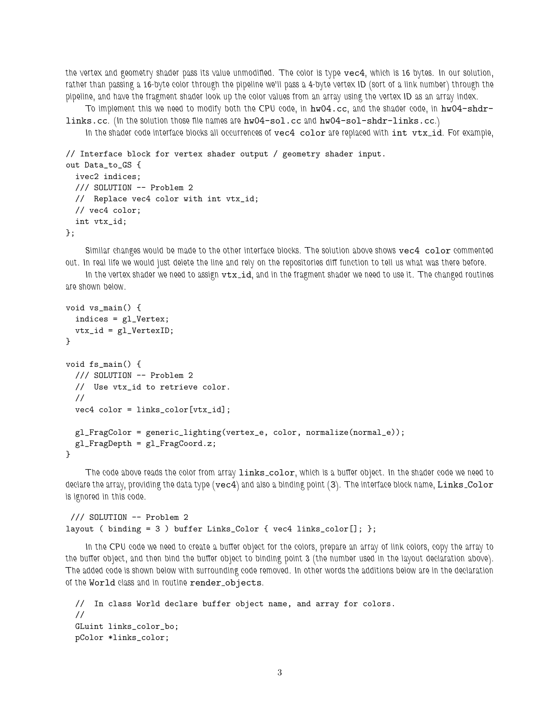the vertex and geometry shader pass its value unmodified. The color is type vec4, which is 16 bytes. In our solution, rather than passing a 16-byte color through the pipeline we'll pass a 4-byte vertex ID (sort of a link number) through the pipeline, and have the fragment shader look up the color values from an array using the vertex ID as an array index.

To implement this we need to modify both the CPU code, in hw04.cc, and the shader code, in hw04-shdrlinks.cc. (In the solution those file names are hw04-sol.cc and hw04-sol-shdr-links.cc.)

In the shader code interface blocks all occurrences of vec4 color are replaced with int vtx\_id. For example,

```
// Interface block for vertex shader output / geometry shader input.
out Data_to_GS {
 ivec2 indices;
 /// SOLUTION -- Problem 2
 // Replace vec4 color with int vtx_id;
 // vec4 color;
```
int vtx\_id;

};

Similar changes would be made to the other interface blocks. The solution above shows vec4 color commented out. In real life we would just delete the line and rely on the repositories diff function to tell us what was there before.

In the vertex shader we need to assign  $vtx_id$ , and in the fragment shader we need to use it. The changed routines are shown below.

```
void vs_main() {
 indices = gl_Vertex;
 vtx_id = gl_VertexID;
}
void fs_main() {
 /// SOLUTION -- Problem 2
 // Use vtx_id to retrieve color.
 //
 vec4 color = links_color[vtx_id];
 gl_FragColor = generic_lighting(vertex_e, color, normalize(normal_e));
 gl_FragDepth = gl_FragCoord.z;
}
```
The code above reads the color from array links\_color, which is a buffer object. In the shader code we need to declare the array, providing the data type (vec4) and also a binding point (3). The interface block name, Links\_Color is ignored in this code.

```
/// SOLUTION -- Problem 2
layout ( binding = 3 ) buffer Links_Color { vec4 links_color[]; };
```
In the CPU code we need to create a buffer object for the colors, prepare an array of link colors, copy the array to the buffer object, and then bind the buffer object to binding point 3 (the number used in the layout declaration above). The added code is shown below with surrounding code removed. In other words the additions below are in the declaration of the World class and in routine render\_objects.

```
// In class World declare buffer object name, and array for colors.
//
GLuint links_color_bo;
pColor *links_color;
```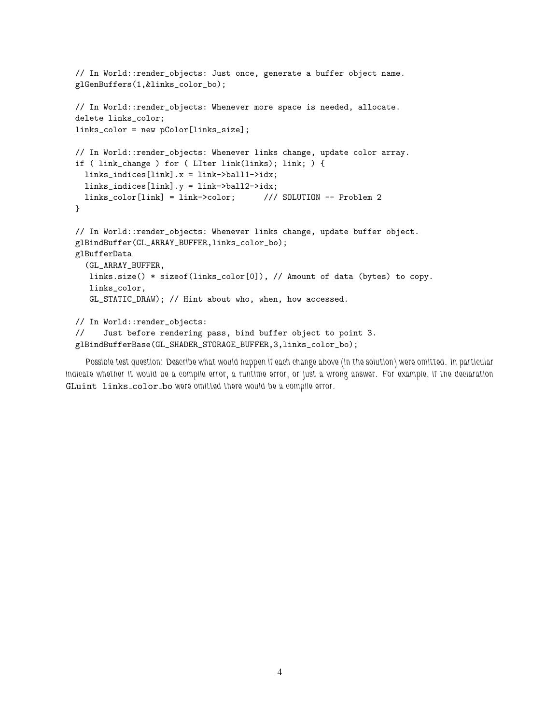```
// In World::render_objects: Just once, generate a buffer object name.
glGenBuffers(1,&links_color_bo);
// In World::render_objects: Whenever more space is needed, allocate.
delete links_color;
links_color = new pColor[links_size];
// In World::render_objects: Whenever links change, update color array.
if ( link_change ) for ( LIter link(links); link; ) {
  links_indices[link].x = link->ball1->idx;
  links_indices[link].y = link->ball2->idx;
  links_color[link] = link->color; /// SOLUTION -- Problem 2
}
// In World::render_objects: Whenever links change, update buffer object.
glBindBuffer(GL_ARRAY_BUFFER,links_color_bo);
glBufferData
  (GL_ARRAY_BUFFER,
  links.size() * sizeof(links_color[0]), // Amount of data (bytes) to copy.
  links_color,
  GL_STATIC_DRAW); // Hint about who, when, how accessed.
// In World::render_objects:
// Just before rendering pass, bind buffer object to point 3.
glBindBufferBase(GL_SHADER_STORAGE_BUFFER,3,links_color_bo);
```
Possible test question: Describe what would happen if each change above (in the solution) were omitted. In particular indicate whether it would be a compile error, a runtime error, or just a wrong answer. For example, if the declaration GLuint links\_color\_bo were omitted there would be a compile error.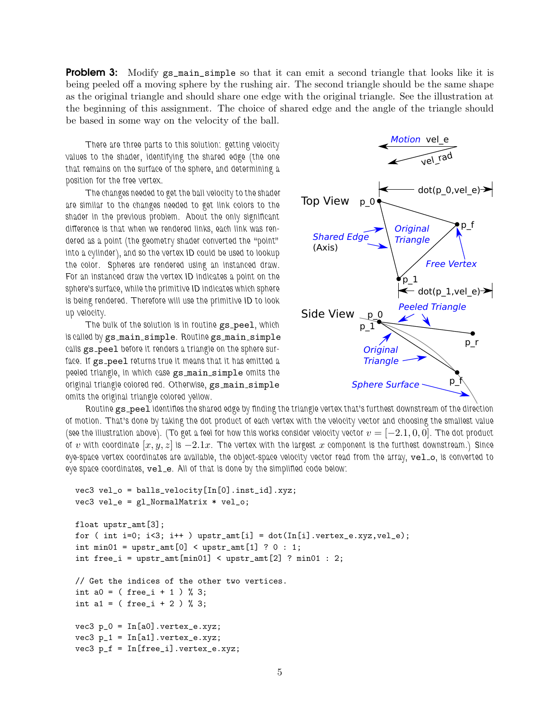**Problem 3:** Modify gs\_main\_simple so that it can emit a second triangle that looks like it is being peeled off a moving sphere by the rushing air. The second triangle should be the same shape as the original triangle and should share one edge with the original triangle. See the illustration at the beginning of this assignment. The choice of shared edge and the angle of the triangle should be based in some way on the velocity of the ball.

There are three parts to this solution: getting velocity values to the shader, identifying the shared edge (the one that remains on the surface of the sphere, and determining a position for the free vertex.

The changes needed to get the ball velocity to the shader are similar to the changes needed to get link colors to the shader in the previous problem. About the only significant difference is that when we rendered links, each link was rendered as a point (the geometry shader converted the "point" into a cylinder), and so the vertex ID could be used to lookup the color. Spheres are rendered using an instanced draw. For an instanced draw the vertex ID indicates a point on the sphere's surface, while the primitive ID indicates which sphere is being rendered. Therefore will use the primitive ID to look up velocity.

The bulk of the solution is in routine gs\_pee1, which is called by gs main simple. Routine gs main simple calls gs\_peel before it renders a triangle on the sphere surface. If gs\_peel returns true it means that it has emitted a peeled triangle, in which case gs\_main\_simple omits the original triangle colored red. Otherwise, gs\_main\_simple omits the original triangle colored yellow.



Routine gs\_peel identifies the shared edge by finding the triangle vertex that's furthest downstream of the direction of motion. That's done by taking the dot product of each vertex with the velocity vector and choosing the smallest value (see the illustration above). (To get a feel for how this works consider velocity vector  $v = [-2.1, 0, 0]$ . The dot product of v with coordinate  $[x, y, z]$  is  $-2.1x$ . The vertex with the largest x component is the furthest downstream.) Since eye-space vertex coordinates are available, the object-space velocity vector read from the array, velo, is converted to eye space coordinates,  $vel_e$ . All of that is done by the simplified code below:

```
vec3 vel_o = balls_velocity[In[0].inst_id].xyz;
vec3 vel_e = gl_NormalMatrix * vel_o;
float upstr_amt[3];
for ( int i=0; i<3; i++ ) upstr_amt[i] = dot(In[i].vertex_e.xyz,vel_e);int min01 = upstr_amt[0] < upstr_amt[1] ? 0 : 1;
int free_i = upstr_amt[min01] < upstr_amt[2] ? min01 : 2;
// Get the indices of the other two vertices.
int a0 = ( free_i + 1 ) % 3;
int a1 = ( free_i + 2 ) % 3;
vec3 p_0 = In[a0].vertex_e.xyz;vec3 p_1 = In[a1].vertex_e.xyz;vec3 p_f = In[free_i].vertex_e.xyz;
```